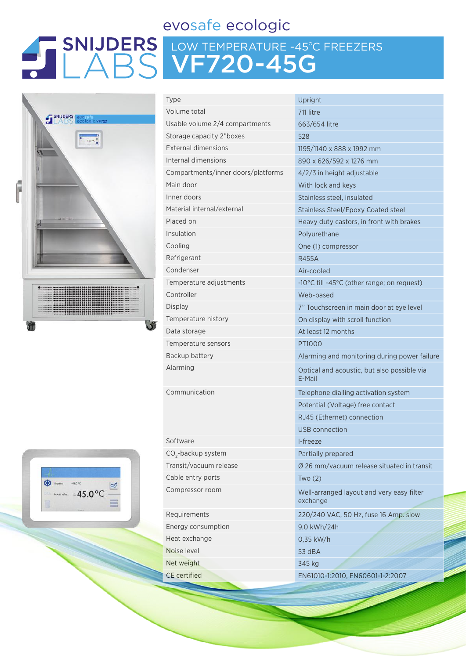## evosafe ecologic

# LOW TEMPERATURE -45ºC FREEZERS VF720-45G



| <b>Type</b>                        | Upright                                               |
|------------------------------------|-------------------------------------------------------|
| Volume total                       | 711 litre                                             |
| Usable volume 2/4 compartments     | 663/654 litre                                         |
| Storage capacity 2"boxes           | 528                                                   |
| <b>External dimensions</b>         | 1195/1140 x 888 x 1992 mm                             |
| Internal dimensions                | 890 x 626/592 x 1276 mm                               |
| Compartments/inner doors/platforms | $4/2/3$ in height adjustable                          |
| Main door                          | With lock and keys                                    |
| Inner doors                        | Stainless steel, insulated                            |
| Material internal/external         | Stainless Steel/Epoxy Coated steel                    |
| Placed on                          | Heavy duty castors, in front with brakes              |
| Insulation                         | Polyurethane                                          |
| Cooling                            | One (1) compressor                                    |
| Refrigerant                        | R455A                                                 |
| Condenser                          | Air-cooled                                            |
| Temperature adjustments            | -10°C till -45°C (other range; on request)            |
| Controller                         | Web-based                                             |
| <b>Display</b>                     | 7" Touchscreen in main door at eye level              |
| Temperature history                | On display with scroll function                       |
| Data storage                       | At least 12 months                                    |
| Temperature sensors                | PT1000                                                |
| Backup battery                     | Alarming and monitoring during power failure          |
| Alarming                           | Optical and acoustic, but also possible via<br>E-Mail |
| Communication                      | Telephone dialling activation system                  |
|                                    | Potential (Voltage) free contact                      |
|                                    | RJ45 (Ethernet) connection                            |
|                                    | <b>USB</b> connection                                 |
| Software                           | I-freeze                                              |
| CO <sub>2</sub> -backup system     | Partially prepared                                    |
| Transit/vacuum release             | Ø 26 mm/vacuum release situated in transit            |
| Cable entry ports                  | Two(2)                                                |
| Compressor room                    | Well-arranged layout and very easy filter<br>exchange |
| Requirements                       | 220/240 VAC, 50 Hz, fuse 16 Amp. slow                 |
| Energy consumption                 | 9,0 kWh/24h                                           |
| Heat exchange                      | 0,35 kW/h                                             |
| Noise level                        | 53 dBA                                                |

(Voltage) free contact ernet) connection ection repared Net weight 345 kg CE certified EN61010-1:2010, EN60601-1-2:2007